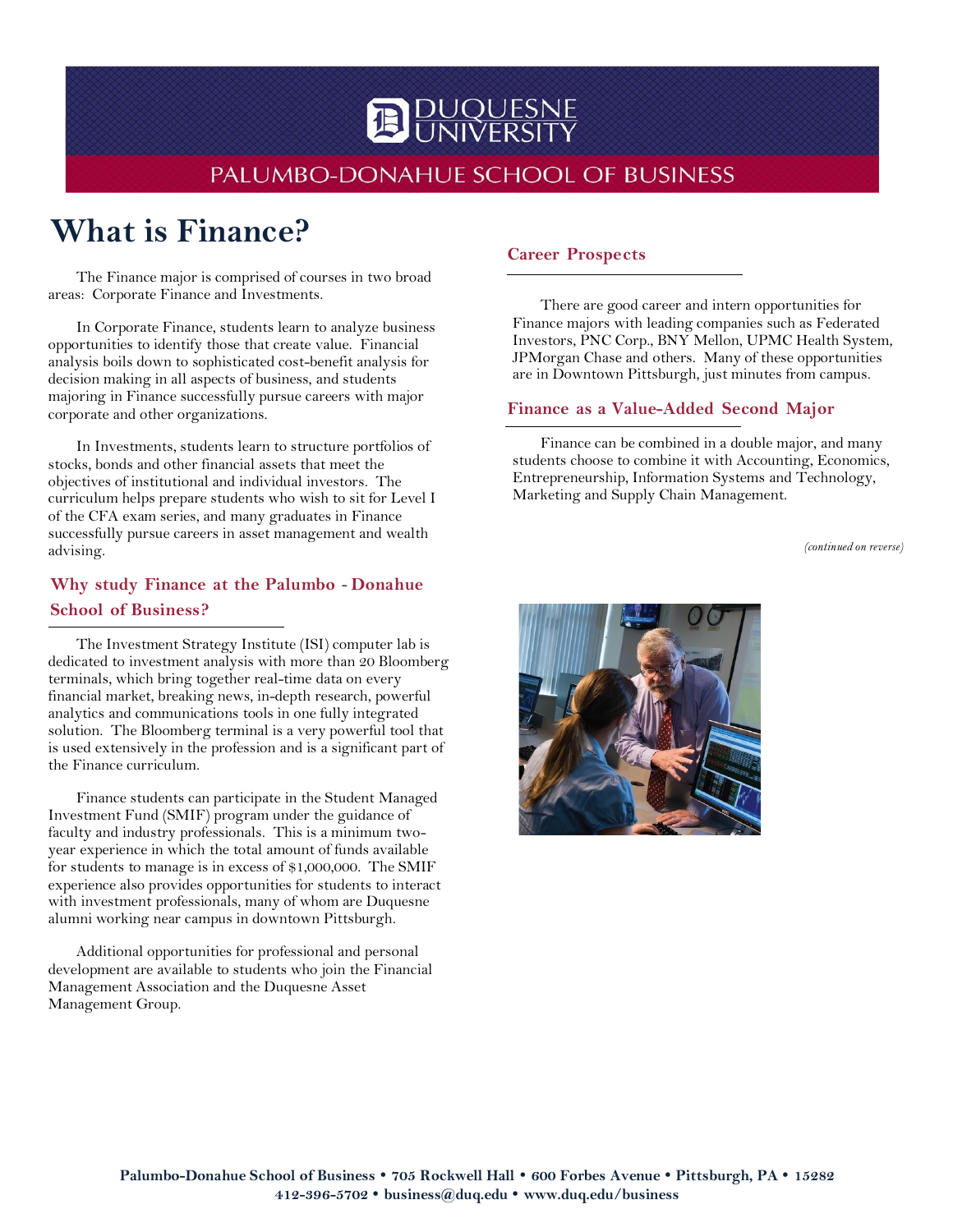# PALUMBO-DONAHUE SCHOOL OF BUSINESS

**D** DUQUESNE

# **What is Finance?**

The Finance major is comprised of courses in two broad areas: Corporate Finance and Investments.

In Corporate Finance, students learn to analyze business opportunities to identify those that create value. Financial analysis boils down to sophisticated cost-benefit analysis for decision making in all aspects of business, and students majoring in Finance successfully pursue careers with major corporate and other organizations.

In Investments, students learn to structure portfolios of stocks, bonds and other financial assets that meet the objectives of institutional and individual investors. The curriculum helps prepare students who wish to sit for Level I of the CFA exam series, and many graduates in Finance successfully pursue careers in asset management and wealth advising.

# **Why study Finance at the Palumbo** - **Donahue School of Business?**

The Investment Strategy Institute (ISI) computer lab is dedicated to investment analysis with more than 20 Bloomberg terminals, which bring together real-time data on every financial market, breaking news, in-depth research, powerful analytics and communications tools in one fully integrated solution. The Bloomberg terminal is a very powerful tool that is used extensively in the profession and is a significant part of the Finance curriculum.

Finance students can participate in the Student Managed Investment Fund (SMIF) program under the guidance of faculty and industry professionals. This is a minimum twoyear experience in which the total amount of funds available for students to manage is in excess of \$1,000,000. The SMIF experience also provides opportunities for students to interact with investment professionals, many of whom are Duquesne alumni working near campus in downtown Pittsburgh.

Additional opportunities for professional and personal development are available to students who join the Financial Management Association and the Duquesne Asset Management Group.

#### **Career Prospects**

There are good career and intern opportunities for Finance majors with leading companies such as Federated Investors, PNC Corp., BNY Mellon, UPMC Health System, JPMorgan Chase and others. Many of these opportunities are in Downtown Pittsburgh, just minutes from campus.

#### **Finance as a Value-Added Second Major**

Finance can be combined in a double major, and many students choose to combine it with Accounting, Economics, Entrepreneurship, Information Systems and Technology, Marketing and Supply Chain Management.

*(continued on reverse)*